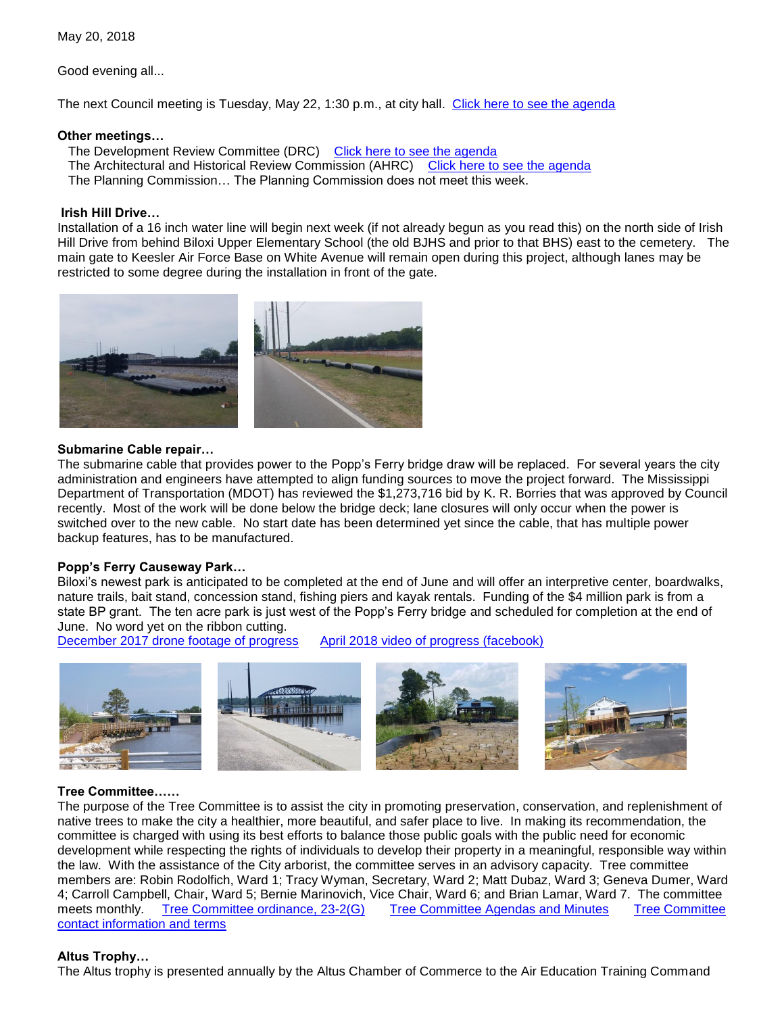May 20, 2018

Good evening all...

The next Council meeting is Tuesday, May 22, 1:30 p.m., at city hall. [Click here to see the agenda](https://www.biloxi.ms.us/agendas/citycouncil/2018/052218/052218agenda.pdf)

### **Other meetings…**

The Development Review Committee (DRC) [Click here to see the agenda](https://www.biloxi.ms.us/agendas/DRC/2018/DRC-2018-05-23.pdf) The Architectural and Historical Review Commission (AHRC) [Click here to see the agenda](https://www.biloxi.ms.us/agendas/AHRC/2018/AHRC-2018-05-24.pdf) The Planning Commission… The Planning Commission does not meet this week.

## **Irish Hill Drive…**

Installation of a 16 inch water line will begin next week (if not already begun as you read this) on the north side of Irish Hill Drive from behind Biloxi Upper Elementary School (the old BJHS and prior to that BHS) east to the cemetery. The main gate to Keesler Air Force Base on White Avenue will remain open during this project, although lanes may be restricted to some degree during the installation in front of the gate.



### **Submarine Cable repair…**

The submarine cable that provides power to the Popp's Ferry bridge draw will be replaced. For several years the city administration and engineers have attempted to align funding sources to move the project forward. The Mississippi Department of Transportation (MDOT) has reviewed the \$1,273,716 bid by K. R. Borries that was approved by Council recently. Most of the work will be done below the bridge deck; lane closures will only occur when the power is switched over to the new cable. No start date has been determined yet since the cable, that has multiple power backup features, has to be manufactured.

### **Popp's Ferry Causeway Park…**

Biloxi's newest park is anticipated to be completed at the end of June and will offer an interpretive center, boardwalks, nature trails, bait stand, concession stand, fishing piers and kayak rentals. Funding of the \$4 million park is from a state BP grant. The ten acre park is just west of the Popp's Ferry bridge and scheduled for completion at the end of June. No word yet on the ribbon cutting.

December 2017 [drone footage of progress](https://video.search.yahoo.com/search/video?fr=ymyy-t-999&p=popps+ferry+causeway+park+drone#action=view&id=2&vid=efce320f0d447be2478db2608e03c4ba) April 2018 video of progress (facebook)



# **Tree Committee……**

The purpose of the Tree Committee is to assist the city in promoting preservation, conservation, and replenishment of native trees to make the city a healthier, more beautiful, and safer place to live. In making its recommendation, the committee is charged with using its best efforts to balance those public goals with the public need for economic development while respecting the rights of individuals to develop their property in a meaningful, responsible way within the law. With the assistance of the City arborist, the committee serves in an advisory capacity. Tree committee members are: Robin Rodolfich, Ward 1; Tracy Wyman, Secretary, Ward 2; Matt Dubaz, Ward 3; Geneva Dumer, Ward 4; Carroll Campbell, Chair, Ward 5; Bernie Marinovich, Vice Chair, Ward 6; and Brian Lamar, Ward 7. The committee meets monthly. [Tree Committee ordinance, 23-2\(G\)](https://library.municode.com/ms/biloxi/codes/land_development_ordinance?nodeId=ART23-2AD_2REDEKIAU_GTRCO) [Tree Committee Agendas and Minutes](https://www.biloxi.ms.us/tree-committee-agendas-and-minutes/) [Tree Committee](https://www.biloxi.ms.us/tree-committee/)  [contact information and terms](https://www.biloxi.ms.us/tree-committee/)

### **Altus Trophy…**

The Altus trophy is presented annually by the Altus Chamber of Commerce to the Air Education Training Command